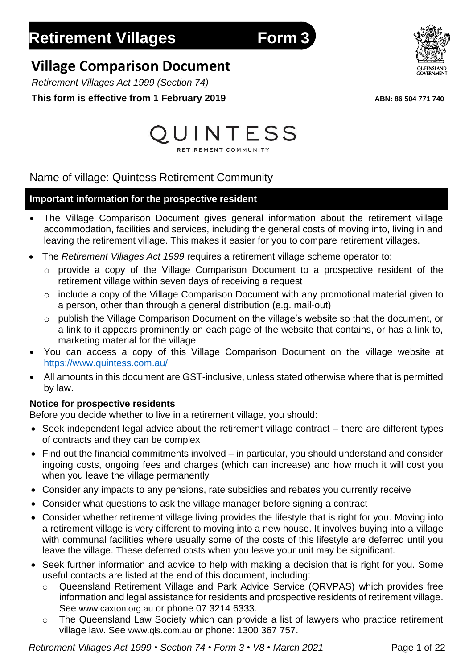# **Village Comparison Document**

*Retirement Villages Act 1999 (Section 74)*

**This form is effective from 1 February 2019** *ABN: 86 504 771 740* 



Name of village: Quintess Retirement Community

# **Important information for the prospective resident**

- The Village Comparison Document gives general information about the retirement village accommodation, facilities and services, including the general costs of moving into, living in and leaving the retirement village. This makes it easier for you to compare retirement villages.
- The *Retirement Villages Act 1999* requires a retirement village scheme operator to:
	- o provide a copy of the Village Comparison Document to a prospective resident of the retirement village within seven days of receiving a request
	- $\circ$  include a copy of the Village Comparison Document with any promotional material given to a person, other than through a general distribution (e.g. mail-out)
	- o publish the Village Comparison Document on the village's website so that the document, or a link to it appears prominently on each page of the website that contains, or has a link to, marketing material for the village
- You can access a copy of this Village Comparison Document on the village website at <https://www.quintess.com.au/>
- All amounts in this document are GST-inclusive, unless stated otherwise where that is permitted by law.

# **Notice for prospective residents**

Before you decide whether to live in a retirement village, you should:

- Seek independent legal advice about the retirement village contract there are different types of contracts and they can be complex
- Find out the financial commitments involved in particular, you should understand and consider ingoing costs, ongoing fees and charges (which can increase) and how much it will cost you when you leave the village permanently
- Consider any impacts to any pensions, rate subsidies and rebates you currently receive
- Consider what questions to ask the village manager before signing a contract
- Consider whether retirement village living provides the lifestyle that is right for you. Moving into a retirement village is very different to moving into a new house. It involves buying into a village with communal facilities where usually some of the costs of this lifestyle are deferred until you leave the village. These deferred costs when you leave your unit may be significant.
- Seek further information and advice to help with making a decision that is right for you. Some useful contacts are listed at the end of this document, including:
	- o Queensland Retirement Village and Park Advice Service (QRVPAS) which provides free information and legal assistance for residents and prospective residents of retirement village. See [www.caxton.org.au](http://www.caxton.org.au/) or phone 07 3214 6333.
	- The Queensland Law Society which can provide a list of lawyers who practice retirement village law. See [www.qls.com.au](http://www.qls.com.au/) or phone: 1300 367 757.

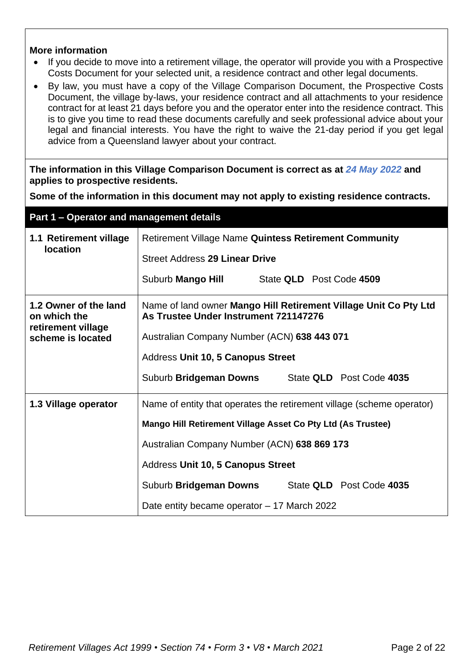#### **More information**

- If you decide to move into a retirement village, the operator will provide you with a Prospective Costs Document for your selected unit, a residence contract and other legal documents.
- By law, you must have a copy of the Village Comparison Document, the Prospective Costs Document, the village by-laws, your residence contract and all attachments to your residence contract for at least 21 days before you and the operator enter into the residence contract. This is to give you time to read these documents carefully and seek professional advice about your legal and financial interests. You have the right to waive the 21-day period if you get legal advice from a Queensland lawyer about your contract.

**The information in this Village Comparison Document is correct as at** *24 May 2022* **and applies to prospective residents.**

**Some of the information in this document may not apply to existing residence contracts.**

|                                                             | Part 1 - Operator and management details                                                                  |  |  |  |  |  |
|-------------------------------------------------------------|-----------------------------------------------------------------------------------------------------------|--|--|--|--|--|
| 1.1 Retirement village                                      | <b>Retirement Village Name Quintess Retirement Community</b>                                              |  |  |  |  |  |
| <b>location</b>                                             | <b>Street Address 29 Linear Drive</b>                                                                     |  |  |  |  |  |
|                                                             | Suburb Mango Hill State QLD Post Code 4509                                                                |  |  |  |  |  |
| 1.2 Owner of the land<br>on which the<br>retirement village | Name of land owner Mango Hill Retirement Village Unit Co Pty Ltd<br>As Trustee Under Instrument 721147276 |  |  |  |  |  |
| scheme is located                                           | Australian Company Number (ACN) 638 443 071                                                               |  |  |  |  |  |
|                                                             | Address Unit 10, 5 Canopus Street                                                                         |  |  |  |  |  |
|                                                             | State QLD Post Code 4035<br>Suburb Bridgeman Downs                                                        |  |  |  |  |  |
| 1.3 Village operator                                        | Name of entity that operates the retirement village (scheme operator)                                     |  |  |  |  |  |
|                                                             | Mango Hill Retirement Village Asset Co Pty Ltd (As Trustee)                                               |  |  |  |  |  |
|                                                             | Australian Company Number (ACN) 638 869 173                                                               |  |  |  |  |  |
|                                                             | Address Unit 10, 5 Canopus Street                                                                         |  |  |  |  |  |
|                                                             | Suburb Bridgeman Downs<br>State QLD Post Code 4035                                                        |  |  |  |  |  |
|                                                             | Date entity became operator - 17 March 2022                                                               |  |  |  |  |  |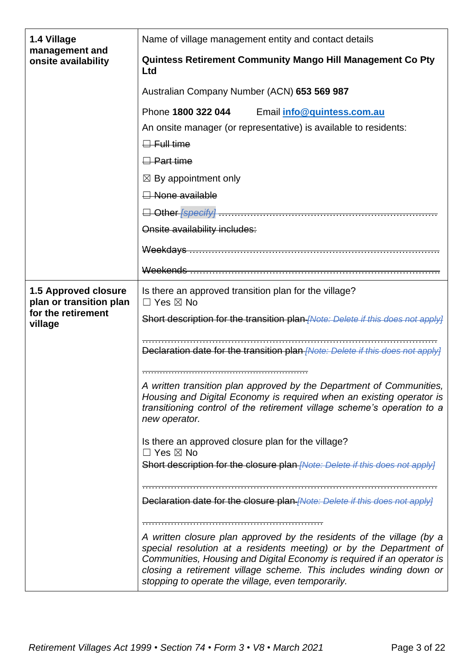| 1.4 Village                                            | Name of village management entity and contact details                                                                                                                                                                                                                                                                                             |  |  |  |  |  |  |  |
|--------------------------------------------------------|---------------------------------------------------------------------------------------------------------------------------------------------------------------------------------------------------------------------------------------------------------------------------------------------------------------------------------------------------|--|--|--|--|--|--|--|
| management and<br>onsite availability                  | Quintess Retirement Community Mango Hill Management Co Pty<br>Ltd                                                                                                                                                                                                                                                                                 |  |  |  |  |  |  |  |
|                                                        | Australian Company Number (ACN) 653 569 987                                                                                                                                                                                                                                                                                                       |  |  |  |  |  |  |  |
|                                                        | Phone 1800 322 044 Email info@quintess.com.au                                                                                                                                                                                                                                                                                                     |  |  |  |  |  |  |  |
|                                                        | An onsite manager (or representative) is available to residents:                                                                                                                                                                                                                                                                                  |  |  |  |  |  |  |  |
|                                                        | $\Box$ Full time                                                                                                                                                                                                                                                                                                                                  |  |  |  |  |  |  |  |
|                                                        | <del>□ Part time</del>                                                                                                                                                                                                                                                                                                                            |  |  |  |  |  |  |  |
|                                                        | $\boxtimes$ By appointment only                                                                                                                                                                                                                                                                                                                   |  |  |  |  |  |  |  |
|                                                        | Aone available                                                                                                                                                                                                                                                                                                                                    |  |  |  |  |  |  |  |
|                                                        |                                                                                                                                                                                                                                                                                                                                                   |  |  |  |  |  |  |  |
|                                                        | Onsite availability includes:                                                                                                                                                                                                                                                                                                                     |  |  |  |  |  |  |  |
|                                                        |                                                                                                                                                                                                                                                                                                                                                   |  |  |  |  |  |  |  |
|                                                        |                                                                                                                                                                                                                                                                                                                                                   |  |  |  |  |  |  |  |
| <b>1.5 Approved closure</b><br>plan or transition plan | Is there an approved transition plan for the village?<br>$\Box$ Yes $\boxtimes$ No                                                                                                                                                                                                                                                                |  |  |  |  |  |  |  |
| for the retirement<br>village                          | Short description for the transition plan [Note: Delete if this does not apply]                                                                                                                                                                                                                                                                   |  |  |  |  |  |  |  |
|                                                        | Declaration date for the transition plan [Note: Delete if this does not apply]                                                                                                                                                                                                                                                                    |  |  |  |  |  |  |  |
|                                                        | A written transition plan approved by the Department of Communities,<br>Housing and Digital Economy is required when an existing operator is<br>transitioning control of the retirement village scheme's operation to a<br>new operator.                                                                                                          |  |  |  |  |  |  |  |
|                                                        | Is there an approved closure plan for the village?                                                                                                                                                                                                                                                                                                |  |  |  |  |  |  |  |
|                                                        | $\Box$ Yes $\boxtimes$ No<br>Short description for the closure plan- <i>[Note: Delete if this does not apply]</i>                                                                                                                                                                                                                                 |  |  |  |  |  |  |  |
|                                                        | Declaration date for the closure plan- <i>[Note: Delete if this does not apply]</i>                                                                                                                                                                                                                                                               |  |  |  |  |  |  |  |
|                                                        | A written closure plan approved by the residents of the village (by a<br>special resolution at a residents meeting) or by the Department of<br>Communities, Housing and Digital Economy is required if an operator is<br>closing a retirement village scheme. This includes winding down or<br>stopping to operate the village, even temporarily. |  |  |  |  |  |  |  |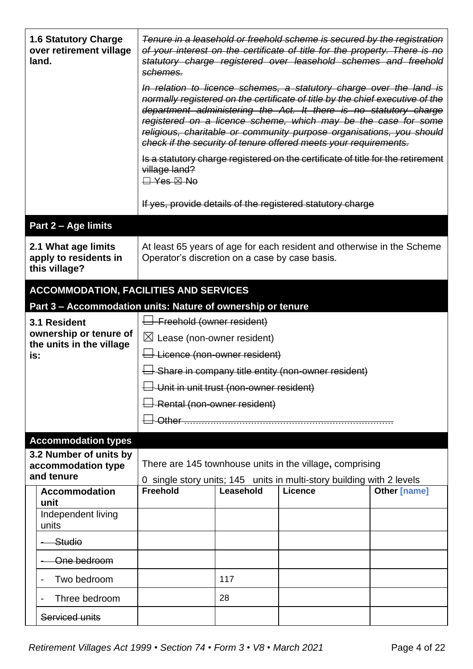| <b>1.6 Statutory Charge</b><br>over retirement village<br>land. | Tenure in a leasehold or freehold scheme is secured by the registration<br>of your interest on the certificate of title for the property. There is no<br>statutory charge registered over leasehold schemes and freehold<br>schemes.                                                                                                                                                                                                    |                              |                                                                                                                                   |              |  |  |
|-----------------------------------------------------------------|-----------------------------------------------------------------------------------------------------------------------------------------------------------------------------------------------------------------------------------------------------------------------------------------------------------------------------------------------------------------------------------------------------------------------------------------|------------------------------|-----------------------------------------------------------------------------------------------------------------------------------|--------------|--|--|
|                                                                 | In relation to licence schemes, a statutory charge over the land is<br>normally registered on the certificate of title by the chief executive of the<br>department administering the Act. It there is no statutory charge<br>registered on a licence scheme, which may be the case for some<br>religious, charitable or community purpose organisations, you should<br>check if the security of tenure offered meets your requirements. |                              |                                                                                                                                   |              |  |  |
|                                                                 | village land?<br>$\Box$ Yes $\boxtimes$ No                                                                                                                                                                                                                                                                                                                                                                                              |                              | Is a statutory charge registered on the certificate of title for the retirement                                                   |              |  |  |
|                                                                 |                                                                                                                                                                                                                                                                                                                                                                                                                                         |                              | If yes, provide details of the registered statutory charge                                                                        |              |  |  |
| Part 2 - Age limits                                             |                                                                                                                                                                                                                                                                                                                                                                                                                                         |                              |                                                                                                                                   |              |  |  |
| 2.1 What age limits<br>apply to residents in<br>this village?   | At least 65 years of age for each resident and otherwise in the Scheme<br>Operator's discretion on a case by case basis.                                                                                                                                                                                                                                                                                                                |                              |                                                                                                                                   |              |  |  |
| <b>ACCOMMODATION, FACILITIES AND SERVICES</b>                   |                                                                                                                                                                                                                                                                                                                                                                                                                                         |                              |                                                                                                                                   |              |  |  |
| Part 3 - Accommodation units: Nature of ownership or tenure     |                                                                                                                                                                                                                                                                                                                                                                                                                                         |                              |                                                                                                                                   |              |  |  |
| 3.1 Resident                                                    | $\overline{\mathsf{H}}$ Freehold (owner resident)                                                                                                                                                                                                                                                                                                                                                                                       |                              |                                                                                                                                   |              |  |  |
| ownership or tenure of<br>the units in the village              | $\boxtimes$ Lease (non-owner resident)                                                                                                                                                                                                                                                                                                                                                                                                  |                              |                                                                                                                                   |              |  |  |
| is:                                                             | $\overline{\bigcup}$ Licence (non-owner resident)                                                                                                                                                                                                                                                                                                                                                                                       |                              |                                                                                                                                   |              |  |  |
|                                                                 | $\overline{\Box}$ Share in company title entity (non-owner resident)                                                                                                                                                                                                                                                                                                                                                                    |                              |                                                                                                                                   |              |  |  |
|                                                                 | $\Box$ Unit in unit trust (non-owner resident)                                                                                                                                                                                                                                                                                                                                                                                          |                              |                                                                                                                                   |              |  |  |
|                                                                 |                                                                                                                                                                                                                                                                                                                                                                                                                                         | -Rental (non-owner resident) |                                                                                                                                   |              |  |  |
|                                                                 |                                                                                                                                                                                                                                                                                                                                                                                                                                         |                              |                                                                                                                                   |              |  |  |
| <b>Accommodation types</b>                                      |                                                                                                                                                                                                                                                                                                                                                                                                                                         |                              |                                                                                                                                   |              |  |  |
| 3.2 Number of units by<br>accommodation type<br>and tenure      |                                                                                                                                                                                                                                                                                                                                                                                                                                         |                              | There are 145 townhouse units in the village, comprising<br>0 single story units; 145 units in multi-story building with 2 levels |              |  |  |
| <b>Accommodation</b><br>unit                                    | <b>Freehold</b>                                                                                                                                                                                                                                                                                                                                                                                                                         | Leasehold                    | <b>Licence</b>                                                                                                                    | Other [name] |  |  |
| Independent living<br>units                                     |                                                                                                                                                                                                                                                                                                                                                                                                                                         |                              |                                                                                                                                   |              |  |  |
| Studio                                                          |                                                                                                                                                                                                                                                                                                                                                                                                                                         |                              |                                                                                                                                   |              |  |  |
| One bedroom                                                     |                                                                                                                                                                                                                                                                                                                                                                                                                                         |                              |                                                                                                                                   |              |  |  |
| Two bedroom<br>$\qquad \qquad \blacksquare$                     |                                                                                                                                                                                                                                                                                                                                                                                                                                         | 117                          |                                                                                                                                   |              |  |  |
| Three bedroom<br>$\qquad \qquad \blacksquare$                   | 28                                                                                                                                                                                                                                                                                                                                                                                                                                      |                              |                                                                                                                                   |              |  |  |
| Serviced units                                                  |                                                                                                                                                                                                                                                                                                                                                                                                                                         |                              |                                                                                                                                   |              |  |  |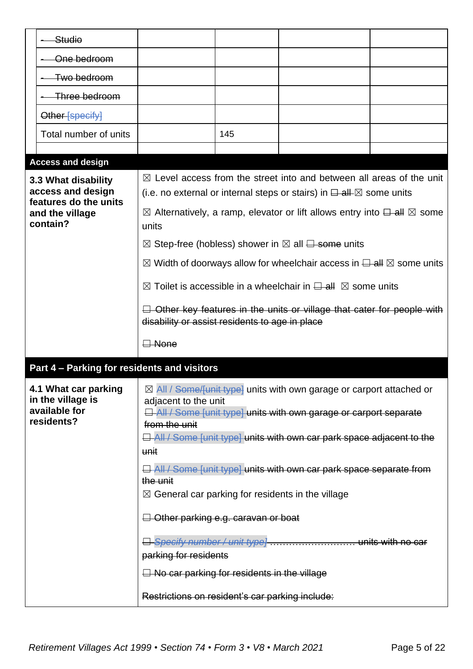| Studio                                                                   |                                                                                                                                                                                                                             |     |                                                                                                                                                                                                                                               |  |  |  |
|--------------------------------------------------------------------------|-----------------------------------------------------------------------------------------------------------------------------------------------------------------------------------------------------------------------------|-----|-----------------------------------------------------------------------------------------------------------------------------------------------------------------------------------------------------------------------------------------------|--|--|--|
| One bedroom                                                              |                                                                                                                                                                                                                             |     |                                                                                                                                                                                                                                               |  |  |  |
| Two bedroom                                                              |                                                                                                                                                                                                                             |     |                                                                                                                                                                                                                                               |  |  |  |
| Three bedroom                                                            |                                                                                                                                                                                                                             |     |                                                                                                                                                                                                                                               |  |  |  |
| Other-[specify]                                                          |                                                                                                                                                                                                                             |     |                                                                                                                                                                                                                                               |  |  |  |
| Total number of units                                                    |                                                                                                                                                                                                                             | 145 |                                                                                                                                                                                                                                               |  |  |  |
|                                                                          |                                                                                                                                                                                                                             |     |                                                                                                                                                                                                                                               |  |  |  |
| <b>Access and design</b>                                                 |                                                                                                                                                                                                                             |     |                                                                                                                                                                                                                                               |  |  |  |
| 3.3 What disability<br>access and design                                 |                                                                                                                                                                                                                             |     | $\boxtimes$ Level access from the street into and between all areas of the unit<br>(i.e. no external or internal steps or stairs) in $\Box$ all $\boxtimes$ some units                                                                        |  |  |  |
| features do the units<br>and the village<br>contain?                     | units                                                                                                                                                                                                                       |     | $\boxtimes$ Alternatively, a ramp, elevator or lift allows entry into $\boxminus$ all $\boxtimes$ some                                                                                                                                        |  |  |  |
|                                                                          |                                                                                                                                                                                                                             |     | $\boxtimes$ Step-free (hobless) shower in $\boxtimes$ all $\boxminus$ some units                                                                                                                                                              |  |  |  |
|                                                                          |                                                                                                                                                                                                                             |     | $\boxtimes$ Width of doorways allow for wheelchair access in $\boxminus$ all $\boxtimes$ some units                                                                                                                                           |  |  |  |
|                                                                          | $\boxtimes$ Toilet is accessible in a wheelchair in $\boxminus$ all $\boxtimes$ some units                                                                                                                                  |     |                                                                                                                                                                                                                                               |  |  |  |
|                                                                          | $\Box$ Other key features in the units or village that cater for people with<br>disability or assist residents to age in place                                                                                              |     |                                                                                                                                                                                                                                               |  |  |  |
|                                                                          | $\Box$ None                                                                                                                                                                                                                 |     |                                                                                                                                                                                                                                               |  |  |  |
| Part 4 - Parking for residents and visitors                              |                                                                                                                                                                                                                             |     |                                                                                                                                                                                                                                               |  |  |  |
| 4.1 What car parking<br>in the village is<br>available for<br>residents? | adjacent to the unit<br>from the unit<br>unit                                                                                                                                                                               |     | $\boxtimes$ All / Some/funit type] units with own garage or carport attached or<br><b>E</b> All / Some [unit type] units with own garage or carport separate<br><b>E</b> All / Some funit type] units with own car park space adjacent to the |  |  |  |
|                                                                          | $\Box$ All / Some [unit type] units with own car park space separate from<br>the unit<br>$\boxtimes$ General car parking for residents in the village<br>$\Box$ Other parking e.g. caravan or boat<br>parking for residents |     |                                                                                                                                                                                                                                               |  |  |  |
|                                                                          |                                                                                                                                                                                                                             |     |                                                                                                                                                                                                                                               |  |  |  |
|                                                                          |                                                                                                                                                                                                                             |     |                                                                                                                                                                                                                                               |  |  |  |
|                                                                          | $\Box$ No car parking for residents in the village                                                                                                                                                                          |     |                                                                                                                                                                                                                                               |  |  |  |
|                                                                          | Restrictions on resident's car parking include:                                                                                                                                                                             |     |                                                                                                                                                                                                                                               |  |  |  |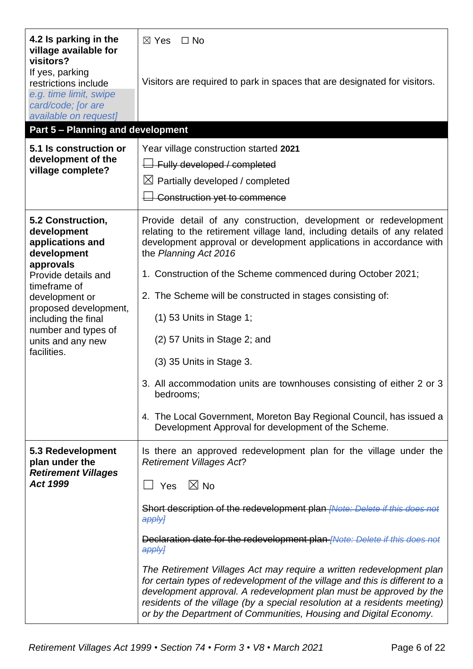| 4.2 Is parking in the<br>village available for<br>visitors?                      | $\boxtimes$ Yes<br>$\Box$ No                                                                                                                                                                                                                                                                                                                                                 |
|----------------------------------------------------------------------------------|------------------------------------------------------------------------------------------------------------------------------------------------------------------------------------------------------------------------------------------------------------------------------------------------------------------------------------------------------------------------------|
| If yes, parking<br>restrictions include<br>e.g. time limit, swipe                | Visitors are required to park in spaces that are designated for visitors.                                                                                                                                                                                                                                                                                                    |
| card/code; [or are<br>available on request]                                      |                                                                                                                                                                                                                                                                                                                                                                              |
| <b>Part 5 - Planning and development</b>                                         |                                                                                                                                                                                                                                                                                                                                                                              |
| 5.1 Is construction or                                                           | Year village construction started 2021                                                                                                                                                                                                                                                                                                                                       |
| development of the<br>village complete?                                          | $\overline{\Box}$ Fully developed / completed                                                                                                                                                                                                                                                                                                                                |
|                                                                                  | $\boxtimes$ Partially developed / completed                                                                                                                                                                                                                                                                                                                                  |
|                                                                                  | Construction yet to commence                                                                                                                                                                                                                                                                                                                                                 |
| 5.2 Construction,<br>development<br>applications and<br>development<br>approvals | Provide detail of any construction, development or redevelopment<br>relating to the retirement village land, including details of any related<br>development approval or development applications in accordance with<br>the Planning Act 2016                                                                                                                                |
| Provide details and<br>timeframe of                                              | 1. Construction of the Scheme commenced during October 2021;                                                                                                                                                                                                                                                                                                                 |
| development or                                                                   | 2. The Scheme will be constructed in stages consisting of:                                                                                                                                                                                                                                                                                                                   |
| proposed development,<br>including the final                                     | $(1)$ 53 Units in Stage 1;                                                                                                                                                                                                                                                                                                                                                   |
| number and types of<br>units and any new<br>facilities.                          | (2) 57 Units in Stage 2; and                                                                                                                                                                                                                                                                                                                                                 |
|                                                                                  | (3) 35 Units in Stage 3.                                                                                                                                                                                                                                                                                                                                                     |
|                                                                                  | 3. All accommodation units are townhouses consisting of either 2 or 3<br>bedrooms;                                                                                                                                                                                                                                                                                           |
|                                                                                  | 4. The Local Government, Moreton Bay Regional Council, has issued a<br>Development Approval for development of the Scheme.                                                                                                                                                                                                                                                   |
| 5.3 Redevelopment<br>plan under the<br><b>Retirement Villages</b>                | Is there an approved redevelopment plan for the village under the<br><b>Retirement Villages Act?</b>                                                                                                                                                                                                                                                                         |
| <b>Act 1999</b>                                                                  | $\boxtimes$ No<br>Yes<br>$\Box$                                                                                                                                                                                                                                                                                                                                              |
|                                                                                  | Short description of the redevelopment plan <i>[Note: Delete if this does not</i><br>apply]                                                                                                                                                                                                                                                                                  |
|                                                                                  | Declaration date for the redevelopment plan <i>[Note: Delete if this does not</i><br>apply]                                                                                                                                                                                                                                                                                  |
|                                                                                  | The Retirement Villages Act may require a written redevelopment plan<br>for certain types of redevelopment of the village and this is different to a<br>development approval. A redevelopment plan must be approved by the<br>residents of the village (by a special resolution at a residents meeting)<br>or by the Department of Communities, Housing and Digital Economy. |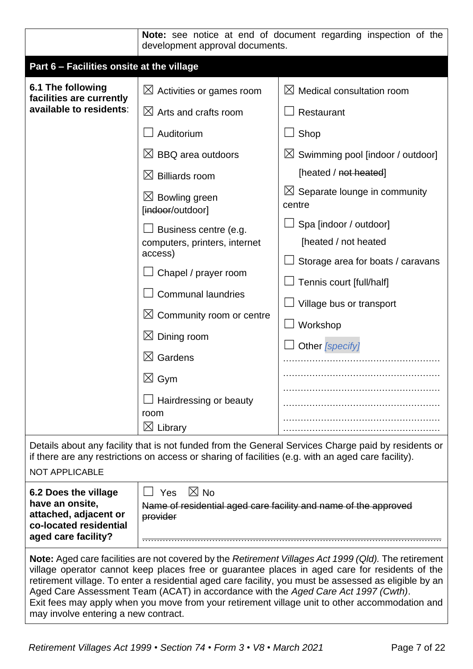|                                                                                                                                                                                                                                                                                                                                                                                                                                                                                                                                                 | Note: see notice at end of document regarding inspection of the<br>development approval documents.                                                                                                                                                                                                                                                                                                                                                                                                      |                                                                                                                                                                                                                                                                                                                                                                          |  |  |  |  |
|-------------------------------------------------------------------------------------------------------------------------------------------------------------------------------------------------------------------------------------------------------------------------------------------------------------------------------------------------------------------------------------------------------------------------------------------------------------------------------------------------------------------------------------------------|---------------------------------------------------------------------------------------------------------------------------------------------------------------------------------------------------------------------------------------------------------------------------------------------------------------------------------------------------------------------------------------------------------------------------------------------------------------------------------------------------------|--------------------------------------------------------------------------------------------------------------------------------------------------------------------------------------------------------------------------------------------------------------------------------------------------------------------------------------------------------------------------|--|--|--|--|
| Part 6 - Facilities onsite at the village                                                                                                                                                                                                                                                                                                                                                                                                                                                                                                       |                                                                                                                                                                                                                                                                                                                                                                                                                                                                                                         |                                                                                                                                                                                                                                                                                                                                                                          |  |  |  |  |
| 6.1 The following<br>facilities are currently<br>available to residents:                                                                                                                                                                                                                                                                                                                                                                                                                                                                        | $\boxtimes$ Activities or games room<br>$\boxtimes$ Arts and crafts room<br>Auditorium<br>$\boxtimes$ BBQ area outdoors<br>$\boxtimes$ Billiards room<br>$\boxtimes$ Bowling green<br>[indoor/outdoor]<br>Business centre (e.g.<br>computers, printers, internet<br>access)<br>Chapel / prayer room<br><b>Communal laundries</b><br>$\boxtimes$ Community room or centre<br>$\boxtimes$ Dining room<br>Gardens<br>$\bowtie$<br>$\boxtimes$ Gym<br>Hairdressing or beauty<br>room<br>$\boxtimes$ Library | $\boxtimes$ Medical consultation room<br>Restaurant<br>Shop<br>$\boxtimes$ Swimming pool [indoor / outdoor]<br>[heated / not heated]<br>$\boxtimes$ Separate lounge in community<br>centre<br>Spa [indoor / outdoor]<br>[heated / not heated<br>Storage area for boats / caravans<br>Tennis court [full/half]<br>Village bus or transport<br>Workshop<br>Other [specify] |  |  |  |  |
| <b>NOT APPLICABLE</b>                                                                                                                                                                                                                                                                                                                                                                                                                                                                                                                           | if there are any restrictions on access or sharing of facilities (e.g. with an aged care facility).                                                                                                                                                                                                                                                                                                                                                                                                     | Details about any facility that is not funded from the General Services Charge paid by residents or                                                                                                                                                                                                                                                                      |  |  |  |  |
| 6.2 Does the village<br>have an onsite,<br>attached, adjacent or<br>co-located residential<br>aged care facility?                                                                                                                                                                                                                                                                                                                                                                                                                               | $\boxtimes$ No<br>Yes<br>Name of residential aged care facility and name of the approved<br>provider                                                                                                                                                                                                                                                                                                                                                                                                    |                                                                                                                                                                                                                                                                                                                                                                          |  |  |  |  |
| Note: Aged care facilities are not covered by the Retirement Villages Act 1999 (Qld). The retirement<br>village operator cannot keep places free or guarantee places in aged care for residents of the<br>retirement village. To enter a residential aged care facility, you must be assessed as eligible by an<br>Aged Care Assessment Team (ACAT) in accordance with the Aged Care Act 1997 (Cwth).<br>Exit fees may apply when you move from your retirement village unit to other accommodation and<br>may involve entering a new contract. |                                                                                                                                                                                                                                                                                                                                                                                                                                                                                                         |                                                                                                                                                                                                                                                                                                                                                                          |  |  |  |  |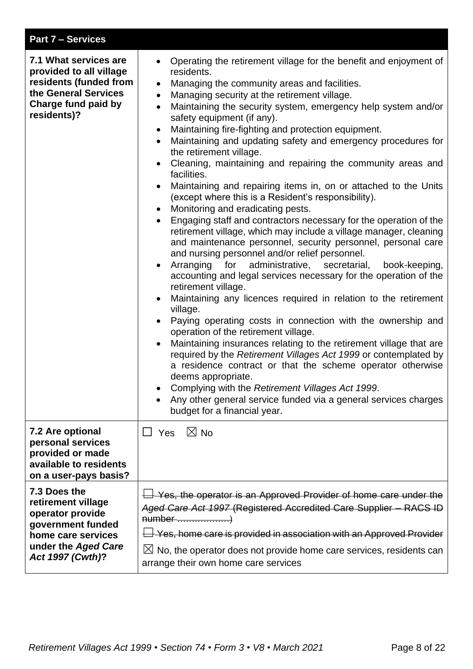| <b>Part 7 – Services</b>                                                                                                                        |                                                                                                                                                                                                                                                                                                                                                                                                                                                                                                                                                                                                                                                                                                                                                                                                                                                                                                                                                                                                                                                                                                                                                                                                                                                                                                                                                                                                                                                                                                                                                                                                                                                                                                                                                                                                                                                              |
|-------------------------------------------------------------------------------------------------------------------------------------------------|--------------------------------------------------------------------------------------------------------------------------------------------------------------------------------------------------------------------------------------------------------------------------------------------------------------------------------------------------------------------------------------------------------------------------------------------------------------------------------------------------------------------------------------------------------------------------------------------------------------------------------------------------------------------------------------------------------------------------------------------------------------------------------------------------------------------------------------------------------------------------------------------------------------------------------------------------------------------------------------------------------------------------------------------------------------------------------------------------------------------------------------------------------------------------------------------------------------------------------------------------------------------------------------------------------------------------------------------------------------------------------------------------------------------------------------------------------------------------------------------------------------------------------------------------------------------------------------------------------------------------------------------------------------------------------------------------------------------------------------------------------------------------------------------------------------------------------------------------------------|
| 7.1 What services are<br>provided to all village<br>residents (funded from<br>the General Services<br><b>Charge fund paid by</b><br>residents)? | Operating the retirement village for the benefit and enjoyment of<br>$\bullet$<br>residents.<br>Managing the community areas and facilities.<br>$\bullet$<br>Managing security at the retirement village.<br>$\bullet$<br>Maintaining the security system, emergency help system and/or<br>$\bullet$<br>safety equipment (if any).<br>Maintaining fire-fighting and protection equipment.<br>$\bullet$<br>Maintaining and updating safety and emergency procedures for<br>$\bullet$<br>the retirement village.<br>Cleaning, maintaining and repairing the community areas and<br>facilities.<br>Maintaining and repairing items in, on or attached to the Units<br>$\bullet$<br>(except where this is a Resident's responsibility).<br>Monitoring and eradicating pests.<br>$\bullet$<br>Engaging staff and contractors necessary for the operation of the<br>$\bullet$<br>retirement village, which may include a village manager, cleaning<br>and maintenance personnel, security personnel, personal care<br>and nursing personnel and/or relief personnel.<br>administrative, secretarial,<br>Arranging<br>for<br>book-keeping,<br>$\bullet$<br>accounting and legal services necessary for the operation of the<br>retirement village.<br>Maintaining any licences required in relation to the retirement<br>$\bullet$<br>village.<br>Paying operating costs in connection with the ownership and<br>operation of the retirement village.<br>Maintaining insurances relating to the retirement village that are<br>$\bullet$<br>required by the Retirement Villages Act 1999 or contemplated by<br>a residence contract or that the scheme operator otherwise<br>deems appropriate.<br>Complying with the Retirement Villages Act 1999.<br>Any other general service funded via a general services charges<br>$\bullet$<br>budget for a financial year. |
| 7.2 Are optional<br>personal services<br>provided or made<br>available to residents<br>on a user-pays basis?                                    | $\boxtimes$ No<br>$\Box$ Yes                                                                                                                                                                                                                                                                                                                                                                                                                                                                                                                                                                                                                                                                                                                                                                                                                                                                                                                                                                                                                                                                                                                                                                                                                                                                                                                                                                                                                                                                                                                                                                                                                                                                                                                                                                                                                                 |
| 7.3 Does the<br>retirement village<br>operator provide<br>government funded<br>home care services<br>under the Aged Care<br>Act 1997 (Cwth)?    | $\overline{\Box}$ Yes, the operator is an Approved Provider of home care under the<br>Aged Care Act 1997 (Registered Accredited Care Supplier - RACS ID<br>number )<br>$\overline{\Box}$ Yes, home care is provided in association with an Approved Provider<br>$\boxtimes$ No, the operator does not provide home care services, residents can<br>arrange their own home care services                                                                                                                                                                                                                                                                                                                                                                                                                                                                                                                                                                                                                                                                                                                                                                                                                                                                                                                                                                                                                                                                                                                                                                                                                                                                                                                                                                                                                                                                      |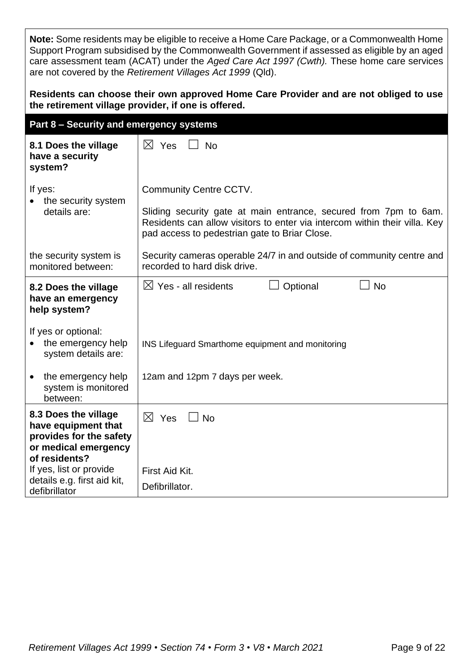**Note:** Some residents may be eligible to receive a Home Care Package, or a Commonwealth Home Support Program subsidised by the Commonwealth Government if assessed as eligible by an aged care assessment team (ACAT) under the *Aged Care Act 1997 (Cwth).* These home care services are not covered by the *Retirement Villages Act 1999* (Qld).

#### **Residents can choose their own approved Home Care Provider and are not obliged to use the retirement village provider, if one is offered.**

| Part 8 - Security and emergency systems                                                                                                                                   |                                                                                                                                                                                                                                  |
|---------------------------------------------------------------------------------------------------------------------------------------------------------------------------|----------------------------------------------------------------------------------------------------------------------------------------------------------------------------------------------------------------------------------|
| 8.1 Does the village<br>have a security<br>system?                                                                                                                        | $\boxtimes$ Yes<br><b>No</b>                                                                                                                                                                                                     |
| If yes:<br>the security system<br>details are:                                                                                                                            | <b>Community Centre CCTV.</b><br>Sliding security gate at main entrance, secured from 7pm to 6am.<br>Residents can allow visitors to enter via intercom within their villa. Key<br>pad access to pedestrian gate to Briar Close. |
| the security system is<br>monitored between:                                                                                                                              | Security cameras operable 24/7 in and outside of community centre and<br>recorded to hard disk drive.                                                                                                                            |
| 8.2 Does the village<br>have an emergency<br>help system?                                                                                                                 | <b>No</b><br>$\boxtimes$ Yes - all residents<br>Optional                                                                                                                                                                         |
| If yes or optional:<br>the emergency help<br>system details are:                                                                                                          | INS Lifeguard Smarthome equipment and monitoring                                                                                                                                                                                 |
| the emergency help<br>$\bullet$<br>system is monitored<br>between:                                                                                                        | 12am and 12pm 7 days per week.                                                                                                                                                                                                   |
| 8.3 Does the village<br>have equipment that<br>provides for the safety<br>or medical emergency<br>of residents?<br>If yes, list or provide<br>details e.g. first aid kit, | $\boxtimes$ Yes<br><b>No</b><br>First Aid Kit.                                                                                                                                                                                   |
| defibrillator                                                                                                                                                             | Defibrillator.                                                                                                                                                                                                                   |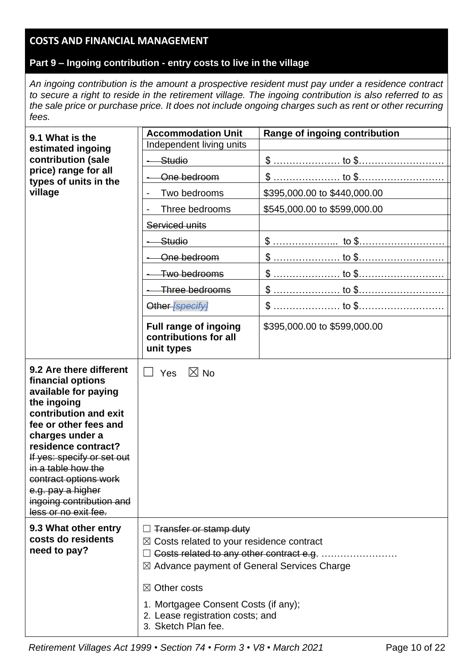# **COSTS AND FINANCIAL MANAGEMENT**

## **Part 9 – Ingoing contribution - entry costs to live in the village**

*An ingoing contribution is the amount a prospective resident must pay under a residence contract to secure a right to reside in the retirement village. The ingoing contribution is also referred to as the sale price or purchase price. It does not include ongoing charges such as rent or other recurring fees.*

| 9.1 What is the                                                                                                                                                                                                                                                                                                                       | <b>Accommodation Unit</b><br>Range of ingoing contribution                                                                                                                                                                                                                                                                |                              |  |  |  |
|---------------------------------------------------------------------------------------------------------------------------------------------------------------------------------------------------------------------------------------------------------------------------------------------------------------------------------------|---------------------------------------------------------------------------------------------------------------------------------------------------------------------------------------------------------------------------------------------------------------------------------------------------------------------------|------------------------------|--|--|--|
| estimated ingoing                                                                                                                                                                                                                                                                                                                     | Independent living units                                                                                                                                                                                                                                                                                                  |                              |  |  |  |
| contribution (sale                                                                                                                                                                                                                                                                                                                    | Studio                                                                                                                                                                                                                                                                                                                    |                              |  |  |  |
| price) range for all<br>types of units in the                                                                                                                                                                                                                                                                                         | One bedroom                                                                                                                                                                                                                                                                                                               |                              |  |  |  |
| village                                                                                                                                                                                                                                                                                                                               | Two bedrooms                                                                                                                                                                                                                                                                                                              | \$395,000.00 to \$440,000.00 |  |  |  |
|                                                                                                                                                                                                                                                                                                                                       | Three bedrooms                                                                                                                                                                                                                                                                                                            | \$545,000.00 to \$599,000.00 |  |  |  |
|                                                                                                                                                                                                                                                                                                                                       | Serviced units                                                                                                                                                                                                                                                                                                            |                              |  |  |  |
|                                                                                                                                                                                                                                                                                                                                       | Studio                                                                                                                                                                                                                                                                                                                    | \$ <u> to \$</u>             |  |  |  |
|                                                                                                                                                                                                                                                                                                                                       | One bedroom                                                                                                                                                                                                                                                                                                               |                              |  |  |  |
|                                                                                                                                                                                                                                                                                                                                       | Two bedrooms                                                                                                                                                                                                                                                                                                              |                              |  |  |  |
|                                                                                                                                                                                                                                                                                                                                       | Three bedrooms                                                                                                                                                                                                                                                                                                            |                              |  |  |  |
|                                                                                                                                                                                                                                                                                                                                       | Other [specify]                                                                                                                                                                                                                                                                                                           |                              |  |  |  |
|                                                                                                                                                                                                                                                                                                                                       | <b>Full range of ingoing</b><br>contributions for all<br>unit types                                                                                                                                                                                                                                                       | \$395,000.00 to \$599,000.00 |  |  |  |
| 9.2 Are there different<br>financial options<br>available for paying<br>the ingoing<br>contribution and exit<br>fee or other fees and<br>charges under a<br>residence contract?<br>If yes: specify or set out<br>in a table how the<br>contract options work<br>e.g. pay a higher<br>ingoing contribution and<br>less or no exit fee. | $\boxtimes$ No<br>Yes                                                                                                                                                                                                                                                                                                     |                              |  |  |  |
| 9.3 What other entry<br>costs do residents<br>need to pay?                                                                                                                                                                                                                                                                            | $\Box$ Transfer or stamp duty<br>$\boxtimes$ Costs related to your residence contract<br>Costs related to any other contract e.g.<br>$\boxtimes$ Advance payment of General Services Charge<br>$\boxtimes$ Other costs<br>1. Mortgagee Consent Costs (if any);<br>2. Lease registration costs; and<br>3. Sketch Plan fee. |                              |  |  |  |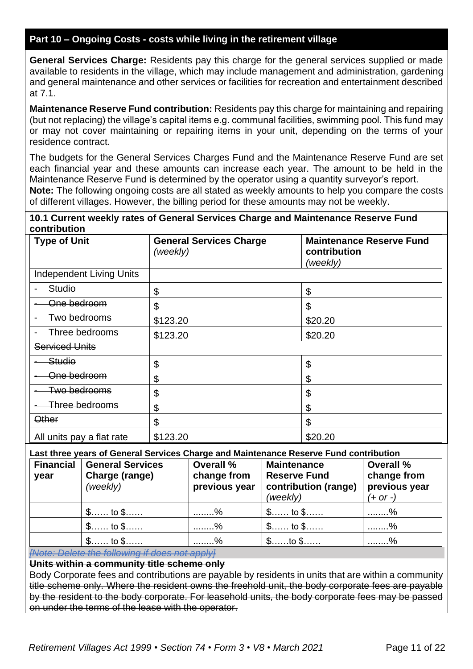## **Part 10 – Ongoing Costs - costs while living in the retirement village**

**General Services Charge:** Residents pay this charge for the general services supplied or made available to residents in the village, which may include management and administration, gardening and general maintenance and other services or facilities for recreation and entertainment described at 7.1.

**Maintenance Reserve Fund contribution:** Residents pay this charge for maintaining and repairing (but not replacing) the village's capital items e.g. communal facilities, swimming pool. This fund may or may not cover maintaining or repairing items in your unit, depending on the terms of your residence contract.

The budgets for the General Services Charges Fund and the Maintenance Reserve Fund are set each financial year and these amounts can increase each year. The amount to be held in the Maintenance Reserve Fund is determined by the operator using a quantity surveyor's report. **Note:** The following ongoing costs are all stated as weekly amounts to help you compare the costs of different villages. However, the billing period for these amounts may not be weekly.

#### **10.1 Current weekly rates of General Services Charge and Maintenance Reserve Fund contribution**

| <b>Type of Unit</b>                        | <b>General Services Charge</b><br>(weekly) | <b>Maintenance Reserve Fund</b><br>contribution<br>(weekly) |
|--------------------------------------------|--------------------------------------------|-------------------------------------------------------------|
| <b>Independent Living Units</b>            |                                            |                                                             |
| <b>Studio</b>                              | \$                                         | \$                                                          |
| <del>One bedroom</del>                     | \$                                         | \$                                                          |
| Two bedrooms                               | \$123.20                                   | \$20.20                                                     |
| Three bedrooms<br>$\overline{\phantom{a}}$ | \$123.20                                   | \$20.20                                                     |
| <b>Serviced Units</b>                      |                                            |                                                             |
| Studio                                     | \$                                         | \$                                                          |
| <del>One bedroom</del>                     | \$                                         | \$                                                          |
| <del>Two bedrooms</del>                    | \$                                         | \$                                                          |
| Three bedrooms                             | \$                                         | \$                                                          |
| <b>Other</b>                               | \$                                         | \$                                                          |
| All units pay a flat rate                  | \$123.20                                   | \$20.20                                                     |

#### **Last three years of General Services Charge and Maintenance Reserve Fund contribution**

| <b>Financial</b><br>year | <b>General Services</b><br>Charge (range)<br>(weekly) | Overall %<br>change from<br>previous year | <b>Maintenance</b><br><b>Reserve Fund</b><br>contribution (range)<br>(weekly) | Overall %<br>change from<br>previous year<br>$(+ or -)$ |
|--------------------------|-------------------------------------------------------|-------------------------------------------|-------------------------------------------------------------------------------|---------------------------------------------------------|
|                          | $\mathsf{\$}\dots\dots$ to $\mathsf{\$}\dots\dots$    | %                                         | $\frac{2}{3}$ to $\frac{2}{3}$                                                | %                                                       |
|                          | $\mathsf{\$}\dots\dots$ to $\mathsf{\$}\dots\dots$    | %                                         | $\frac{2}{3}$ to $\frac{2}{3}$                                                | %                                                       |
|                          | $\mathsf{\$}$ to $\mathsf{\$}$                        | %                                         | $\mathsf{\$}\dots\ldots$ to $\mathsf{\$}\dots\ldots$                          | %                                                       |

*[Note: Delete the following if does not apply]*

**Units within a community title scheme only** 

Body Corporate fees and contributions are payable by residents in units that are within a community title scheme only. Where the resident owns the freehold unit, the body corporate fees are payable by the resident to the body corporate. For leasehold units, the body corporate fees may be passed on under the terms of the lease with the operator.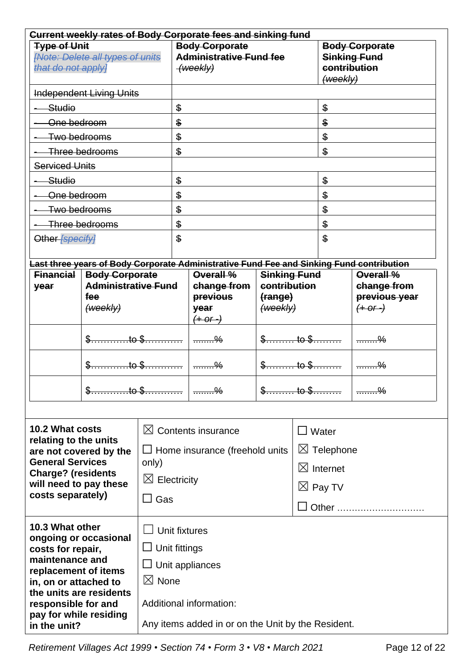| Current weekly rates of Body Corporate fees and sinking fund                         |                                                    |                         |                                                                     |                                                                                          |                                              |                                                                                |               |                                            |
|--------------------------------------------------------------------------------------|----------------------------------------------------|-------------------------|---------------------------------------------------------------------|------------------------------------------------------------------------------------------|----------------------------------------------|--------------------------------------------------------------------------------|---------------|--------------------------------------------|
| <b>Type of Unit</b><br><b>[Note: Delete all types of units</b><br>that do not apply] |                                                    |                         | <b>Body Corporate</b><br><b>Administrative Fund fee</b><br>(weekly) |                                                                                          |                                              | <b>Body Corporate</b><br><b>Sinking Fund</b><br>contribution<br>$($ weekly $)$ |               |                                            |
|                                                                                      | <b>Independent Living Units</b>                    |                         |                                                                     |                                                                                          |                                              |                                                                                |               |                                            |
| Studio                                                                               |                                                    |                         | $\frac{6}{5}$                                                       |                                                                                          |                                              |                                                                                | $\frac{6}{5}$ |                                            |
| One bedroom                                                                          |                                                    |                         | $\frac{1}{2}$                                                       |                                                                                          |                                              | \$                                                                             |               |                                            |
| Two bedrooms                                                                         |                                                    |                         | $\frac{1}{2}$                                                       |                                                                                          |                                              | \$                                                                             |               |                                            |
|                                                                                      | Three bedrooms                                     |                         | $\$\$                                                               |                                                                                          |                                              |                                                                                | $\mathbf{\$}$ |                                            |
| <b>Serviced Units</b>                                                                |                                                    |                         |                                                                     |                                                                                          |                                              |                                                                                |               |                                            |
| Studio                                                                               |                                                    |                         | $\frac{2}{3}$                                                       |                                                                                          |                                              |                                                                                | \$            |                                            |
| One bedroom                                                                          |                                                    |                         | \$                                                                  |                                                                                          |                                              |                                                                                | \$            |                                            |
| Two bedrooms                                                                         |                                                    |                         | \$                                                                  |                                                                                          |                                              |                                                                                | \$            |                                            |
|                                                                                      | Three bedrooms                                     |                         | \$                                                                  |                                                                                          |                                              |                                                                                | \$            |                                            |
| Other [specify]                                                                      |                                                    |                         | $\mathbf{\$}$                                                       |                                                                                          |                                              |                                                                                | $\mathbf{\$}$ |                                            |
|                                                                                      |                                                    |                         |                                                                     | Last three years of Body Corporate Administrative Fund Fee and Sinking Fund contribution |                                              |                                                                                |               |                                            |
| <b>Financial</b>                                                                     | <b>Body Corporate</b>                              |                         |                                                                     | Overall %                                                                                | <b>Sinking Fund</b>                          |                                                                                |               | Overall %                                  |
| year                                                                                 | <b>Administrative Fund</b><br>fee<br>(weekly)      |                         |                                                                     | change from<br><b>previous</b><br>year<br>$(+ or -)$                                     | contribution<br>(range)<br>( <i>w</i> oekly) |                                                                                |               | change from<br>previous year<br>$(+ or -)$ |
|                                                                                      | $\pm$ to \$.                                       |                         |                                                                     |                                                                                          | $\frac{1}{2}$ to $\frac{1}{2}$<br>to \$      |                                                                                |               | $\frac{9}{2}$                              |
|                                                                                      |                                                    |                         |                                                                     |                                                                                          |                                              |                                                                                |               | $\frac{9}{2}$                              |
|                                                                                      |                                                    | .to \$…………              |                                                                     |                                                                                          | \$ <del>.</del><br><del>to \$</del>          |                                                                                |               |                                            |
| <b>10.2 What costs</b>                                                               |                                                    |                         |                                                                     | $\boxtimes$ Contents insurance                                                           |                                              | $\Box$                                                                         | Water         |                                            |
| relating to the units                                                                |                                                    |                         |                                                                     |                                                                                          |                                              |                                                                                |               |                                            |
| <b>General Services</b>                                                              | are not covered by the                             | only)                   |                                                                     | $\Box$ Home insurance (freehold units                                                    |                                              | $\boxtimes$ Telephone                                                          |               |                                            |
| <b>Charge? (residents</b>                                                            |                                                    | $\boxtimes$ Electricity |                                                                     |                                                                                          |                                              | $\boxtimes$ Internet<br>$\boxtimes$ Pay TV                                     |               |                                            |
| will need to pay these                                                               |                                                    |                         |                                                                     |                                                                                          |                                              |                                                                                |               |                                            |
|                                                                                      | costs separately)<br>Gas<br>$\Box$                 |                         |                                                                     |                                                                                          |                                              |                                                                                | Other         |                                            |
| 10.3 What other                                                                      |                                                    | Unit fixtures           |                                                                     |                                                                                          |                                              |                                                                                |               |                                            |
| costs for repair,                                                                    | ongoing or occasional                              | Unit fittings           |                                                                     |                                                                                          |                                              |                                                                                |               |                                            |
| maintenance and                                                                      |                                                    |                         |                                                                     |                                                                                          |                                              |                                                                                |               |                                            |
| replacement of items                                                                 |                                                    | $\Box$ Unit appliances  |                                                                     |                                                                                          |                                              |                                                                                |               |                                            |
| in, on or attached to                                                                | the units are residents                            | $\boxtimes$ None        |                                                                     |                                                                                          |                                              |                                                                                |               |                                            |
| responsible for and<br>pay for while residing                                        |                                                    |                         | Additional information:                                             |                                                                                          |                                              |                                                                                |               |                                            |
| in the unit?                                                                         | Any items added in or on the Unit by the Resident. |                         |                                                                     |                                                                                          |                                              |                                                                                |               |                                            |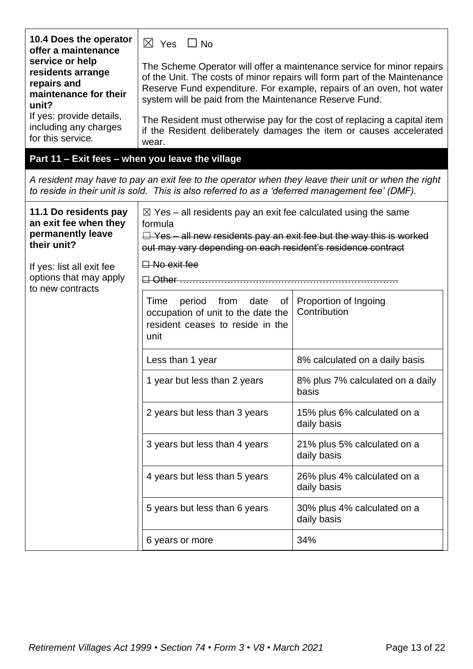| 10.4 Does the operator<br>offer a maintenance                                         | $\boxtimes$ Yes $\Box$ No                                                                                                                                                                                                         |                                                                                                                                                                                                                             |  |
|---------------------------------------------------------------------------------------|-----------------------------------------------------------------------------------------------------------------------------------------------------------------------------------------------------------------------------------|-----------------------------------------------------------------------------------------------------------------------------------------------------------------------------------------------------------------------------|--|
| service or help<br>residents arrange<br>repairs and<br>maintenance for their<br>unit? | system will be paid from the Maintenance Reserve Fund.                                                                                                                                                                            | The Scheme Operator will offer a maintenance service for minor repairs<br>of the Unit. The costs of minor repairs will form part of the Maintenance<br>Reserve Fund expenditure. For example, repairs of an oven, hot water |  |
| If yes: provide details,<br>including any charges<br>for this service.                | wear.                                                                                                                                                                                                                             | The Resident must otherwise pay for the cost of replacing a capital item<br>if the Resident deliberately damages the item or causes accelerated                                                                             |  |
| Part 11 - Exit fees - when you leave the village                                      |                                                                                                                                                                                                                                   |                                                                                                                                                                                                                             |  |
|                                                                                       | A resident may have to pay an exit fee to the operator when they leave their unit or when the right<br>to reside in their unit is sold. This is also referred to as a 'deferred management fee' (DMF).                            |                                                                                                                                                                                                                             |  |
| 11.1 Do residents pay<br>an exit fee when they<br>permanently leave<br>their unit?    | $\boxtimes$ Yes – all residents pay an exit fee calculated using the same<br>formula<br>$\Box$ Yes – all new residents pay an exit fee but the way this is worked<br>out may vary depending on each resident's residence contract |                                                                                                                                                                                                                             |  |
| If yes: list all exit fee<br>options that may apply<br>to new contracts               | $\Box$ No exit fee<br><del>⊟ Other …………</del>                                                                                                                                                                                     |                                                                                                                                                                                                                             |  |
|                                                                                       | of<br>period from<br>date<br>Time<br>occupation of unit to the date the<br>resident ceases to reside in the<br>unit                                                                                                               | Proportion of Ingoing<br>Contribution                                                                                                                                                                                       |  |
|                                                                                       | Less than 1 year                                                                                                                                                                                                                  | 8% calculated on a daily basis                                                                                                                                                                                              |  |
|                                                                                       | 1 year but less than 2 years                                                                                                                                                                                                      | 8% plus 7% calculated on a daily<br>basis                                                                                                                                                                                   |  |
|                                                                                       | 2 years but less than 3 years                                                                                                                                                                                                     | 15% plus 6% calculated on a<br>daily basis                                                                                                                                                                                  |  |
|                                                                                       | 3 years but less than 4 years                                                                                                                                                                                                     | 21% plus 5% calculated on a<br>daily basis                                                                                                                                                                                  |  |
|                                                                                       | 4 years but less than 5 years                                                                                                                                                                                                     | 26% plus 4% calculated on a<br>daily basis                                                                                                                                                                                  |  |
|                                                                                       | 5 years but less than 6 years                                                                                                                                                                                                     | 30% plus 4% calculated on a<br>daily basis                                                                                                                                                                                  |  |
|                                                                                       | 6 years or more                                                                                                                                                                                                                   | 34%                                                                                                                                                                                                                         |  |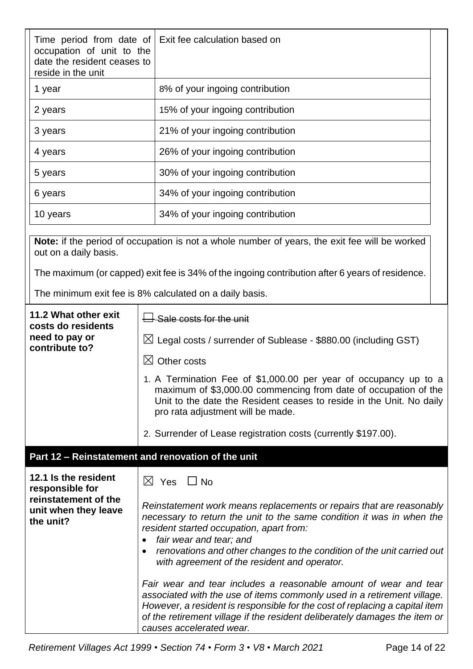| Time period from date of<br>occupation of unit to the<br>date the resident ceases to<br>reside in the unit | Exit fee calculation based on                                                                                                                                                                                                                               |
|------------------------------------------------------------------------------------------------------------|-------------------------------------------------------------------------------------------------------------------------------------------------------------------------------------------------------------------------------------------------------------|
| 1 year                                                                                                     | 8% of your ingoing contribution                                                                                                                                                                                                                             |
| 2 years                                                                                                    | 15% of your ingoing contribution                                                                                                                                                                                                                            |
| 3 years                                                                                                    | 21% of your ingoing contribution                                                                                                                                                                                                                            |
| 4 years                                                                                                    | 26% of your ingoing contribution                                                                                                                                                                                                                            |
| 5 years                                                                                                    | 30% of your ingoing contribution                                                                                                                                                                                                                            |
| 6 years                                                                                                    | 34% of your ingoing contribution                                                                                                                                                                                                                            |
| 10 years                                                                                                   | 34% of your ingoing contribution                                                                                                                                                                                                                            |
| out on a daily basis.                                                                                      | Note: if the period of occupation is not a whole number of years, the exit fee will be worked<br>The maximum (or capped) exit fee is 34% of the ingoing contribution after 6 years of residence.<br>The minimum exit fee is 8% calculated on a daily basis. |
|                                                                                                            |                                                                                                                                                                                                                                                             |
| 11.2 What other exit<br>costs do residents                                                                 | $\mathsf{\mathsf{I}}$ Sale costs for the unit                                                                                                                                                                                                               |
| need to pay or<br>contribute to?                                                                           | $\boxtimes$ Legal costs / surrender of Sublease - \$880.00 (including GST)                                                                                                                                                                                  |
|                                                                                                            | $\boxtimes$ Other costs                                                                                                                                                                                                                                     |
|                                                                                                            | 1. A Termination Fee of \$1,000.00 per year of occupancy up to a<br>maximum of \$3,000.00 commencing from date of occupation of the<br>Unit to the date the Resident ceases to reside in the Unit. No daily<br>pro rata adjustment will be made.            |

#### **Part 12 – Reinstatement and renovation of the unit**

**12.1 Is the resident responsible for reinstatement of the unit when they leave the unit?**  $\boxtimes$  Yes  $\Box$  No *Reinstatement work means replacements or repairs that are reasonably necessary to return the unit to the same condition it was in when the resident started occupation, apart from:* • *fair wear and tear; and*  • *renovations and other changes to the condition of the unit carried out with agreement of the resident and operator. Fair wear and tear includes a reasonable amount of wear and tear associated with the use of items commonly used in a retirement village. However, a resident is responsible for the cost of replacing a capital item of the retirement village if the resident deliberately damages the item or causes accelerated wear.* 

2. Surrender of Lease registration costs (currently \$197.00).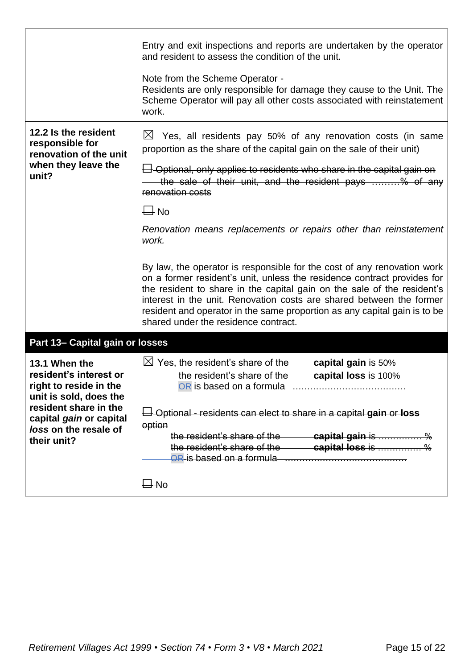|                                                                                             | Entry and exit inspections and reports are undertaken by the operator<br>and resident to assess the condition of the unit.                                                                                                                                                                                                                                                                                                 |
|---------------------------------------------------------------------------------------------|----------------------------------------------------------------------------------------------------------------------------------------------------------------------------------------------------------------------------------------------------------------------------------------------------------------------------------------------------------------------------------------------------------------------------|
|                                                                                             | Note from the Scheme Operator -<br>Residents are only responsible for damage they cause to the Unit. The<br>Scheme Operator will pay all other costs associated with reinstatement<br>work.                                                                                                                                                                                                                                |
| 12.2 Is the resident<br>responsible for<br>renovation of the unit                           | $\boxtimes$<br>Yes, all residents pay 50% of any renovation costs (in same<br>proportion as the share of the capital gain on the sale of their unit)                                                                                                                                                                                                                                                                       |
| when they leave the<br>unit?                                                                | $\Box$ Optional, only applies to residents who share in the capital gain on<br>the sale of their unit, and the resident pays % of any<br>renovation costs                                                                                                                                                                                                                                                                  |
|                                                                                             | $\Box$ No                                                                                                                                                                                                                                                                                                                                                                                                                  |
|                                                                                             | Renovation means replacements or repairs other than reinstatement<br>work.                                                                                                                                                                                                                                                                                                                                                 |
|                                                                                             | By law, the operator is responsible for the cost of any renovation work<br>on a former resident's unit, unless the residence contract provides for<br>the resident to share in the capital gain on the sale of the resident's<br>interest in the unit. Renovation costs are shared between the former<br>resident and operator in the same proportion as any capital gain is to be<br>shared under the residence contract. |
| Part 13- Capital gain or losses                                                             |                                                                                                                                                                                                                                                                                                                                                                                                                            |
| 13.1 When the<br>resident's interest or<br>right to reside in the<br>unit is sold, does the | $\boxtimes$ Yes, the resident's share of the<br>capital gain is 50%<br>the resident's share of the<br>capital loss is 100%                                                                                                                                                                                                                                                                                                 |
| resident share in the<br>capital gain or capital                                            | $\Box$ Optional - residents can elect to share in a capital gain or loss                                                                                                                                                                                                                                                                                                                                                   |
| loss on the resale of<br>their unit?                                                        | option                                                                                                                                                                                                                                                                                                                                                                                                                     |
|                                                                                             | the resident's share of the capital loss is  %                                                                                                                                                                                                                                                                                                                                                                             |
|                                                                                             | $\Box$ No                                                                                                                                                                                                                                                                                                                                                                                                                  |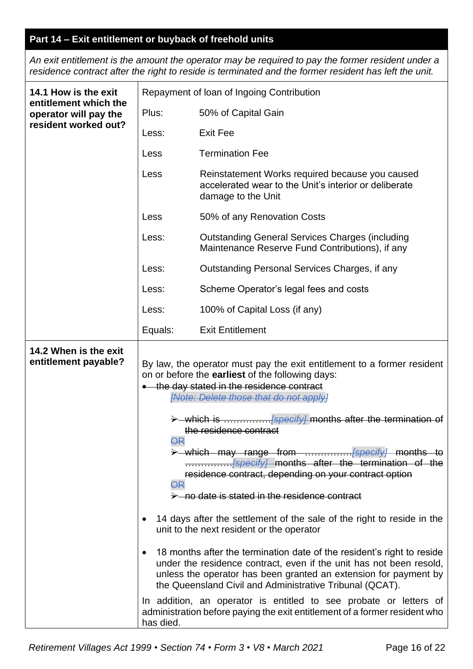# **Part 14 – Exit entitlement or buyback of freehold units**

*An exit entitlement is the amount the operator may be required to pay the former resident under a residence contract after the right to reside is terminated and the former resident has left the unit.*

| 14.1 How is the exit                           |                              | Repayment of Ioan of Ingoing Contribution                                                                                                                                                                                                                                                                                                                                                                                                                                                                                                                                                                                                                                                                                                                                                                                                                                                                                                                                                                                      |  |  |
|------------------------------------------------|------------------------------|--------------------------------------------------------------------------------------------------------------------------------------------------------------------------------------------------------------------------------------------------------------------------------------------------------------------------------------------------------------------------------------------------------------------------------------------------------------------------------------------------------------------------------------------------------------------------------------------------------------------------------------------------------------------------------------------------------------------------------------------------------------------------------------------------------------------------------------------------------------------------------------------------------------------------------------------------------------------------------------------------------------------------------|--|--|
| entitlement which the<br>operator will pay the | Plus:                        | 50% of Capital Gain                                                                                                                                                                                                                                                                                                                                                                                                                                                                                                                                                                                                                                                                                                                                                                                                                                                                                                                                                                                                            |  |  |
| resident worked out?                           | Less:                        | <b>Exit Fee</b>                                                                                                                                                                                                                                                                                                                                                                                                                                                                                                                                                                                                                                                                                                                                                                                                                                                                                                                                                                                                                |  |  |
|                                                | Less                         | <b>Termination Fee</b>                                                                                                                                                                                                                                                                                                                                                                                                                                                                                                                                                                                                                                                                                                                                                                                                                                                                                                                                                                                                         |  |  |
|                                                | Less                         | Reinstatement Works required because you caused<br>accelerated wear to the Unit's interior or deliberate<br>damage to the Unit                                                                                                                                                                                                                                                                                                                                                                                                                                                                                                                                                                                                                                                                                                                                                                                                                                                                                                 |  |  |
|                                                | Less                         | 50% of any Renovation Costs                                                                                                                                                                                                                                                                                                                                                                                                                                                                                                                                                                                                                                                                                                                                                                                                                                                                                                                                                                                                    |  |  |
|                                                | Less:                        | <b>Outstanding General Services Charges (including</b><br>Maintenance Reserve Fund Contributions), if any                                                                                                                                                                                                                                                                                                                                                                                                                                                                                                                                                                                                                                                                                                                                                                                                                                                                                                                      |  |  |
|                                                | Less:                        | Outstanding Personal Services Charges, if any                                                                                                                                                                                                                                                                                                                                                                                                                                                                                                                                                                                                                                                                                                                                                                                                                                                                                                                                                                                  |  |  |
|                                                | Less:                        | Scheme Operator's legal fees and costs                                                                                                                                                                                                                                                                                                                                                                                                                                                                                                                                                                                                                                                                                                                                                                                                                                                                                                                                                                                         |  |  |
|                                                | Less:                        | 100% of Capital Loss (if any)                                                                                                                                                                                                                                                                                                                                                                                                                                                                                                                                                                                                                                                                                                                                                                                                                                                                                                                                                                                                  |  |  |
|                                                | Equals:                      | <b>Exit Entitlement</b>                                                                                                                                                                                                                                                                                                                                                                                                                                                                                                                                                                                                                                                                                                                                                                                                                                                                                                                                                                                                        |  |  |
| 14.2 When is the exit<br>entitlement payable?  | <b>OR</b><br>θR<br>has died. | By law, the operator must pay the exit entitlement to a former resident<br>on or before the earliest of the following days:<br>• the day stated in the residence contract<br>[Note: Delete those that do not apply]<br>> which is <i>[specify]</i> months after the termination of<br>the residence contract<br>> which may range from  [specify] months to<br>residence contract, depending on your contract option<br>no date is stated in the residence contract<br>14 days after the settlement of the sale of the right to reside in the<br>unit to the next resident or the operator<br>18 months after the termination date of the resident's right to reside<br>under the residence contract, even if the unit has not been resold,<br>unless the operator has been granted an extension for payment by<br>the Queensland Civil and Administrative Tribunal (QCAT).<br>In addition, an operator is entitled to see probate or letters of<br>administration before paying the exit entitlement of a former resident who |  |  |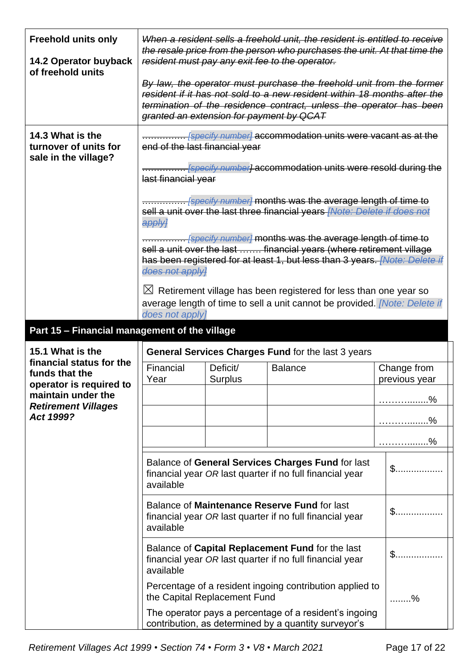| <b>Freehold units only</b><br>14.2 Operator buyback<br>of freehold units |                                          |                              | When a resident sells a freehold unit, the resident is entitled to receive<br>the resale price from the person who purchases the unit. At that time the<br>resident must pay any exit fee to the operator.               |                              |
|--------------------------------------------------------------------------|------------------------------------------|------------------------------|--------------------------------------------------------------------------------------------------------------------------------------------------------------------------------------------------------------------------|------------------------------|
|                                                                          | granted an extension for payment by QCAT |                              | By law, the operator must purchase the freehold unit from the former<br>resident if it has not sold to a new resident within 18 months after the<br>termination of the residence contract, unless the operator has been  |                              |
| 14.3 What is the<br>turnover of units for<br>sale in the village?        | end of the last financial year           |                              | [specify number] accommodation units were vacant as at the                                                                                                                                                               |                              |
|                                                                          | last financial year                      |                              | [specify number] accommodation units were resold during the                                                                                                                                                              |                              |
|                                                                          | apply]                                   |                              | [specify number] months was the average length of time to<br>sell a unit over the last three financial years [Note: Delete if does not                                                                                   |                              |
|                                                                          | does not applyl                          |                              | <b></b> [specify number] months was the average length of time to<br>sell a unit over the last  financial years (where retirement village<br>has been registered for at least 1, but less than 3 years. [Note: Delete if |                              |
|                                                                          | $\boxtimes$                              |                              | Retirement village has been registered for less than one year so<br>average length of time to sell a unit cannot be provided. [Note: Delete if                                                                           |                              |
|                                                                          | does not apply]                          |                              |                                                                                                                                                                                                                          |                              |
| Part 15 - Financial management of the village                            |                                          |                              |                                                                                                                                                                                                                          |                              |
| 15.1 What is the<br>financial status for the                             |                                          |                              | General Services Charges Fund for the last 3 years                                                                                                                                                                       |                              |
| funds that the<br>operator is required to                                | Financial<br>Year                        | Deficit/<br>Surplus          | <b>Balance</b>                                                                                                                                                                                                           | Change from<br>previous year |
| maintain under the<br><b>Retirement Villages</b>                         |                                          |                              |                                                                                                                                                                                                                          | . %                          |
| Act 1999?                                                                |                                          |                              |                                                                                                                                                                                                                          | . %                          |
|                                                                          |                                          |                              |                                                                                                                                                                                                                          | . %                          |
|                                                                          |                                          |                              |                                                                                                                                                                                                                          |                              |
|                                                                          | available                                |                              | Balance of General Services Charges Fund for last<br>financial year OR last quarter if no full financial year                                                                                                            | $\mathbb{S}$                 |
|                                                                          | available                                |                              | Balance of Maintenance Reserve Fund for last<br>financial year OR last quarter if no full financial year                                                                                                                 | $\mathbb{S}$                 |
|                                                                          | available                                |                              | Balance of Capital Replacement Fund for the last<br>financial year OR last quarter if no full financial year                                                                                                             | $$$                          |
|                                                                          |                                          | the Capital Replacement Fund | Percentage of a resident ingoing contribution applied to                                                                                                                                                                 | %                            |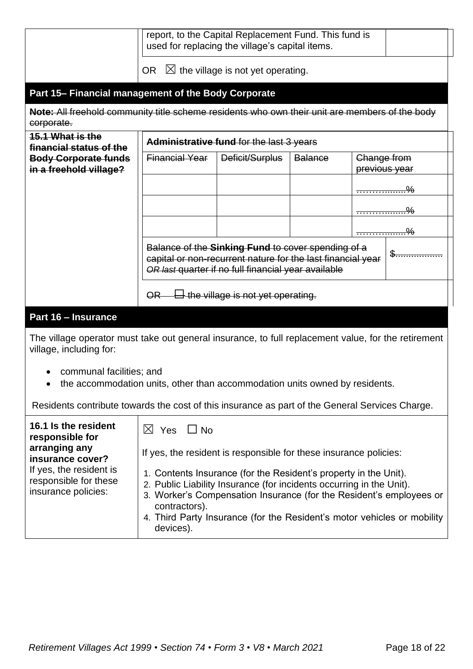|                                                                                                                                |                                                                   | report, to the Capital Replacement Fund. This fund is<br>used for replacing the village's capital items.                                                                 |                |                                                                                                                                                |
|--------------------------------------------------------------------------------------------------------------------------------|-------------------------------------------------------------------|--------------------------------------------------------------------------------------------------------------------------------------------------------------------------|----------------|------------------------------------------------------------------------------------------------------------------------------------------------|
|                                                                                                                                | OR.                                                               | $\boxtimes$ the village is not yet operating.                                                                                                                            |                |                                                                                                                                                |
| Part 15- Financial management of the Body Corporate                                                                            |                                                                   |                                                                                                                                                                          |                |                                                                                                                                                |
| Note: All freehold community title scheme residents who own their unit are members of the body<br>corporate.                   |                                                                   |                                                                                                                                                                          |                |                                                                                                                                                |
| <b>15.1 What is the</b><br>financial status of the                                                                             |                                                                   | Administrative fund for the last 3 years                                                                                                                                 |                |                                                                                                                                                |
| <b>Body Corporate funds</b><br>in a freehold village?                                                                          | <b>Financial Year</b>                                             | Deficit/Surplus                                                                                                                                                          | <b>Balance</b> | Change from<br>previous year                                                                                                                   |
|                                                                                                                                |                                                                   |                                                                                                                                                                          |                | <del>%</del>                                                                                                                                   |
|                                                                                                                                |                                                                   |                                                                                                                                                                          |                |                                                                                                                                                |
|                                                                                                                                |                                                                   |                                                                                                                                                                          |                | <del>%</del>                                                                                                                                   |
|                                                                                                                                |                                                                   | Balance of the Sinking Fund to cover spending of a<br>capital or non-recurrent nature for the last financial year<br>OR last quarter if no full financial year available |                | \$                                                                                                                                             |
|                                                                                                                                | OR                                                                | $\Box$ the village is not yet operating.                                                                                                                                 |                |                                                                                                                                                |
| Part 16 - Insurance                                                                                                            |                                                                   |                                                                                                                                                                          |                |                                                                                                                                                |
| The village operator must take out general insurance, to full replacement value, for the retirement<br>village, including for: |                                                                   |                                                                                                                                                                          |                |                                                                                                                                                |
| communal facilities; and<br>the accommodation units, other than accommodation units owned by residents.                        |                                                                   |                                                                                                                                                                          |                |                                                                                                                                                |
| Residents contribute towards the cost of this insurance as part of the General Services Charge.                                |                                                                   |                                                                                                                                                                          |                |                                                                                                                                                |
| 16.1 Is the resident<br>responsible for                                                                                        | $\boxtimes$ Yes<br>$\Box$ No                                      |                                                                                                                                                                          |                |                                                                                                                                                |
| arranging any<br>insurance cover?                                                                                              | If yes, the resident is responsible for these insurance policies: |                                                                                                                                                                          |                |                                                                                                                                                |
| If yes, the resident is<br>responsible for these<br>insurance policies:                                                        | contractors).                                                     | 1. Contents Insurance (for the Resident's property in the Unit).<br>2. Public Liability Insurance (for incidents occurring in the Unit).                                 |                | 3. Worker's Compensation Insurance (for the Resident's employees or<br>4. Third Party Insurance (for the Resident's motor vehicles or mobility |
|                                                                                                                                | devices).                                                         |                                                                                                                                                                          |                |                                                                                                                                                |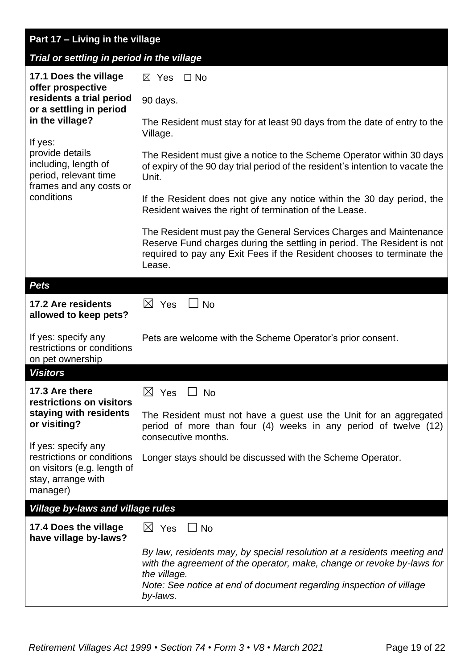| Part 17 - Living in the village                                                                                    |                                                                                                                                                                                                                                                      |
|--------------------------------------------------------------------------------------------------------------------|------------------------------------------------------------------------------------------------------------------------------------------------------------------------------------------------------------------------------------------------------|
| Trial or settling in period in the village                                                                         |                                                                                                                                                                                                                                                      |
| 17.1 Does the village<br>offer prospective                                                                         | $\boxtimes$ Yes<br>$\Box$ No                                                                                                                                                                                                                         |
| residents a trial period<br>or a settling in period                                                                | 90 days.                                                                                                                                                                                                                                             |
| in the village?<br>If yes:                                                                                         | The Resident must stay for at least 90 days from the date of entry to the<br>Village.                                                                                                                                                                |
| provide details<br>including, length of<br>period, relevant time<br>frames and any costs or                        | The Resident must give a notice to the Scheme Operator within 30 days<br>of expiry of the 90 day trial period of the resident's intention to vacate the<br>Unit.                                                                                     |
| conditions                                                                                                         | If the Resident does not give any notice within the 30 day period, the<br>Resident waives the right of termination of the Lease.                                                                                                                     |
|                                                                                                                    | The Resident must pay the General Services Charges and Maintenance<br>Reserve Fund charges during the settling in period. The Resident is not<br>required to pay any Exit Fees if the Resident chooses to terminate the<br>Lease.                    |
| <b>Pets</b>                                                                                                        |                                                                                                                                                                                                                                                      |
| 17.2 Are residents<br>allowed to keep pets?                                                                        | $\boxtimes$ Yes<br><b>No</b>                                                                                                                                                                                                                         |
| If yes: specify any<br>restrictions or conditions<br>on pet ownership                                              | Pets are welcome with the Scheme Operator's prior consent.                                                                                                                                                                                           |
| <b>Visitors</b>                                                                                                    |                                                                                                                                                                                                                                                      |
| 17.3 Are there<br>restrictions on visitors                                                                         | $\boxtimes$ Yes<br>$\Box$ No                                                                                                                                                                                                                         |
| staying with residents<br>or visiting?                                                                             | The Resident must not have a guest use the Unit for an aggregated<br>period of more than four (4) weeks in any period of twelve (12)<br>consecutive months.                                                                                          |
| If yes: specify any<br>restrictions or conditions<br>on visitors (e.g. length of<br>stay, arrange with<br>manager) | Longer stays should be discussed with the Scheme Operator.                                                                                                                                                                                           |
| Village by-laws and village rules                                                                                  |                                                                                                                                                                                                                                                      |
| 17.4 Does the village<br>have village by-laws?                                                                     | $\boxtimes$ Yes $\Box$ No                                                                                                                                                                                                                            |
|                                                                                                                    | By law, residents may, by special resolution at a residents meeting and<br>with the agreement of the operator, make, change or revoke by-laws for<br>the village.<br>Note: See notice at end of document regarding inspection of village<br>by-laws. |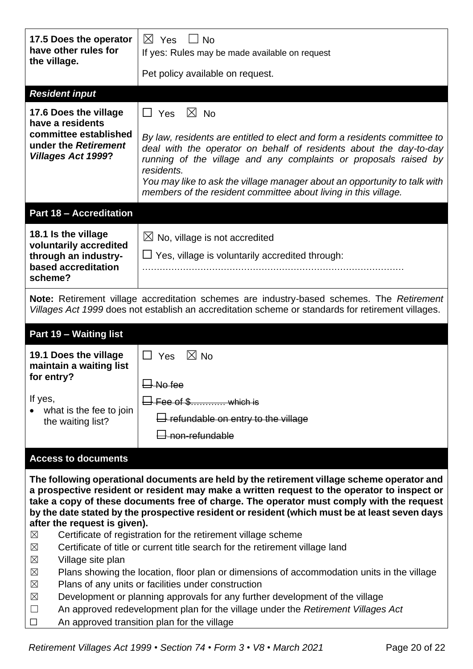| 17.5 Does the operator<br>have other rules for<br>the village.             | $\boxtimes$ Yes<br>$\Box$ No<br>If yes: Rules may be made available on request                                                                                                                                                                                                                                                                                                         |
|----------------------------------------------------------------------------|----------------------------------------------------------------------------------------------------------------------------------------------------------------------------------------------------------------------------------------------------------------------------------------------------------------------------------------------------------------------------------------|
|                                                                            | Pet policy available on request.                                                                                                                                                                                                                                                                                                                                                       |
| <b>Resident input</b>                                                      |                                                                                                                                                                                                                                                                                                                                                                                        |
| 17.6 Does the village<br>have a residents                                  | $\boxtimes$ No<br>$\Box$ Yes                                                                                                                                                                                                                                                                                                                                                           |
| committee established<br>under the Retirement<br><b>Villages Act 1999?</b> | By law, residents are entitled to elect and form a residents committee to<br>deal with the operator on behalf of residents about the day-to-day<br>running of the village and any complaints or proposals raised by<br>residents.<br>You may like to ask the village manager about an opportunity to talk with                                                                         |
|                                                                            | members of the resident committee about living in this village.                                                                                                                                                                                                                                                                                                                        |
| <b>Part 18 - Accreditation</b>                                             |                                                                                                                                                                                                                                                                                                                                                                                        |
| 18.1 Is the village<br>voluntarily accredited                              | $\boxtimes$ No, village is not accredited                                                                                                                                                                                                                                                                                                                                              |
| through an industry-                                                       | Yes, village is voluntarily accredited through:<br>ப                                                                                                                                                                                                                                                                                                                                   |
| based accreditation<br>scheme?                                             |                                                                                                                                                                                                                                                                                                                                                                                        |
|                                                                            | Note: Retirement village accreditation schemes are industry-based schemes. The Retirement<br>Villages Act 1999 does not establish an accreditation scheme or standards for retirement villages.                                                                                                                                                                                        |
| Part 19 - Waiting list                                                     |                                                                                                                                                                                                                                                                                                                                                                                        |
| 19.1 Does the village<br>maintain a waiting list                           | $\boxtimes$ No<br>$\Box$ Yes                                                                                                                                                                                                                                                                                                                                                           |
| for entry?                                                                 | $\Box$ No fee                                                                                                                                                                                                                                                                                                                                                                          |
|                                                                            |                                                                                                                                                                                                                                                                                                                                                                                        |
| If yes,                                                                    | $\Box$ Fee of \$ which is                                                                                                                                                                                                                                                                                                                                                              |
| what is the fee to join<br>the waiting list?                               | $\Box$ refundable on entry to the village                                                                                                                                                                                                                                                                                                                                              |
|                                                                            | <del>] non-refundable</del>                                                                                                                                                                                                                                                                                                                                                            |
| <b>Access to documents</b>                                                 |                                                                                                                                                                                                                                                                                                                                                                                        |
| after the request is given).                                               | The following operational documents are held by the retirement village scheme operator and<br>a prospective resident or resident may make a written request to the operator to inspect or<br>take a copy of these documents free of charge. The operator must comply with the request<br>by the date stated by the prospective resident or resident (which must be at least seven days |
| ⊠                                                                          | Certificate of registration for the retirement village scheme                                                                                                                                                                                                                                                                                                                          |
| $\boxtimes$<br>$\boxtimes$<br>Village site plan                            | Certificate of title or current title search for the retirement village land                                                                                                                                                                                                                                                                                                           |
| $\boxtimes$                                                                | Plans showing the location, floor plan or dimensions of accommodation units in the village                                                                                                                                                                                                                                                                                             |
| $\boxtimes$<br>$\boxtimes$                                                 | Plans of any units or facilities under construction<br>Development or planning approvals for any further development of the village                                                                                                                                                                                                                                                    |

□ An approved transition plan for the village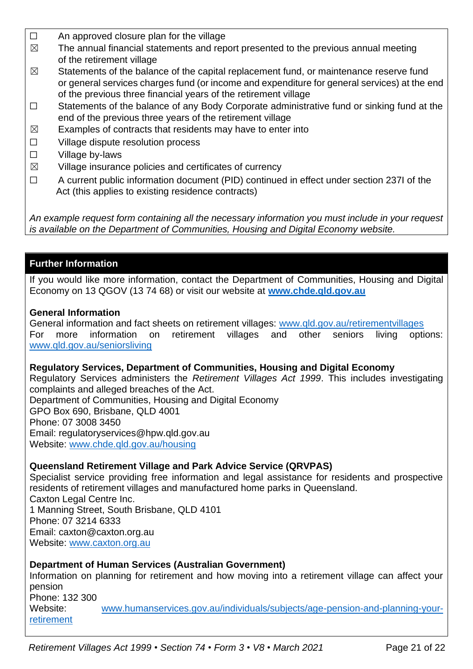- $\Box$  An approved closure plan for the village
- $\boxtimes$  The annual financial statements and report presented to the previous annual meeting of the retirement village
- $\boxtimes$  Statements of the balance of the capital replacement fund, or maintenance reserve fund or general services charges fund (or income and expenditure for general services) at the end of the previous three financial years of the retirement village
- ☐ Statements of the balance of any Body Corporate administrative fund or sinking fund at the end of the previous three years of the retirement village
- $\boxtimes$  Examples of contracts that residents may have to enter into
- ☐ Village dispute resolution process
- ☐ Village by-laws
- $\boxtimes$  Village insurance policies and certificates of currency
- ☐ A current public information document (PID) continued in effect under section 237I of the Act (this applies to existing residence contracts)

*An example request form containing all the necessary information you must include in your request is available on the Department of Communities, Housing and Digital Economy website.*

# **Further Information**

If you would like more information, contact the Department of Communities, Housing and Digital Economy on 13 QGOV (13 74 68) or visit our website at **[www.chde.qld.gov.au](http://www.chde.qld.gov.au/)**

## **General Information**

General information and fact sheets on retirement villages: [www.qld.gov.au/retirementvillages](http://www.qld.gov.au/retirementvillages) For more information on retirement villages and other seniors living options: [www.qld.gov.au/seniorsliving](http://www.qld.gov.au/seniorsliving)

## **Regulatory Services, Department of Communities, Housing and Digital Economy**

Regulatory Services administers the *Retirement Villages Act 1999*. This includes investigating complaints and alleged breaches of the Act.

Department of Communities, Housing and Digital Economy GPO Box 690, Brisbane, QLD 4001 Phone: 07 3008 3450 Email: regulatoryservices@hpw.qld.gov.au Website: [www.chde.qld.gov.au/housing](http://www.chde.qld.gov.au/housing)

# **Queensland Retirement Village and Park Advice Service (QRVPAS)**

Specialist service providing free information and legal assistance for residents and prospective residents of retirement villages and manufactured home parks in Queensland. Caxton Legal Centre Inc. 1 Manning Street, South Brisbane, QLD 4101 Phone: 07 3214 6333 Email: caxton@caxton.org.au Website: [www.caxton.org.au](http://www.caxton.org.au/)

# **Department of Human Services (Australian Government)**

Information on planning for retirement and how moving into a retirement village can affect your pension Phone: 132 300 Website: [www.humanservices.gov.au/individuals/subjects/age-pension-and-planning-your](file:///C:/Users/juliet.gross/AppData/Roaming/Microsoft/Word/www.humanservices.gov.au/individuals/subjects/age-pension-and-planning-your-retirement)[retirement](file:///C:/Users/juliet.gross/AppData/Roaming/Microsoft/Word/www.humanservices.gov.au/individuals/subjects/age-pension-and-planning-your-retirement)